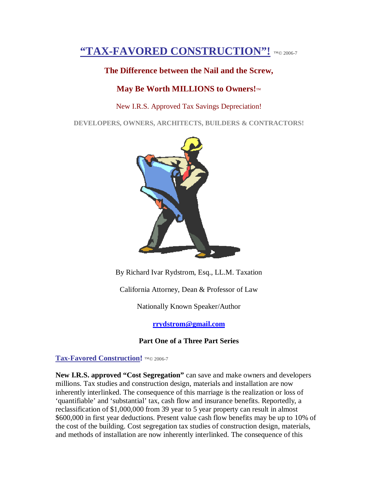# **"TAX-FAVORED CONSTRUCTION"!** ™© 2006-7

### **The Difference between the Nail and the Screw,**

### **May Be Worth MILLIONS to Owners!**™

#### New I.R.S. Approved Tax Savings Depreciation!

**DEVELOPERS, OWNERS, ARCHITECTS, BUILDERS & CONTRACTORS!**



By Richard Ivar Rydstrom, Esq., LL.M. Taxation

California Attorney, Dean & Professor of Law

Nationally Known Speaker/Author

**[rrydstrom@gmail.com](mailto:rrydstrom@gmail.com)**

### **Part One of a Three Part Series**

**Tax-Favored Construction!** ™© 2006-7

**New I.R.S. approved "Cost Segregation"** can save and make owners and developers millions. Tax studies and construction design, materials and installation are now inherently interlinked. The consequence of this marriage is the realization or loss of 'quantifiable' and 'substantial' tax, cash flow and insurance benefits. Reportedly, a reclassification of \$1,000,000 from 39 year to 5 year property can result in almost \$600,000 in first year deductions. Present value cash flow benefits may be up to 10% of the cost of the building. Cost segregation tax studies of construction design, materials, and methods of installation are now inherently interlinked. The consequence of this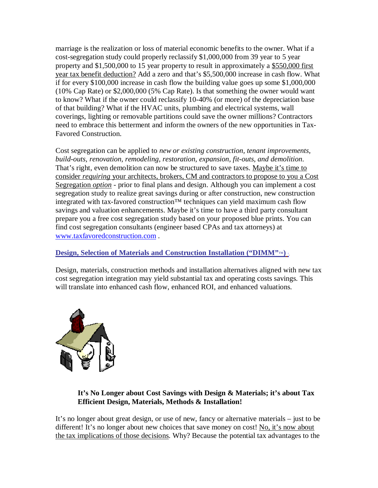marriage is the realization or loss of material economic benefits to the owner. What if a cost-segregation study could properly reclassify \$1,000,000 from 39 year to 5 year property and \$1,500,000 to 15 year property to result in approximately a \$550,000 first year tax benefit deduction? Add a zero and that's \$5,500,000 increase in cash flow. What if for every \$100,000 increase in cash flow the building value goes up some \$1,000,000 (10% Cap Rate) or \$2,000,000 (5% Cap Rate). Is that something the owner would want to know? What if the owner could reclassify 10-40% (or more) of the depreciation base of that building? What if the HVAC units, plumbing and electrical systems, wall coverings, lighting or removable partitions could save the owner millions? Contractors need to embrace this betterment and inform the owners of the new opportunities in Tax-Favored Construction.

Cost segregation can be applied to *new or existing construction, tenant improvements, build-outs, renovation, remodeling, restoration, expansion, fit-outs, and demolition*. That's right, even demolition can now be structured to save taxes. Maybe it's time to consider *requiring* your architects, brokers, CM and contractors to propose to you a Cost Segregation *option* - prior to final plans and design. Although you can implement a cost segregation study to realize great savings during or after construction, new construction integrated with tax-favored construction™ techniques can yield maximum cash flow savings and valuation enhancements. Maybe it's time to have a third party consultant prepare you a free cost segregation study based on your proposed blue prints. You can find cost segregation consultants (engineer based CPAs and tax attorneys) at [www.taxfavoredconstruction.com](http://www.taxfavoredconstruction.com) .

## **Design, Selection of Materials and Construction Installation ("DIMM"<sup>™</sup>**

Design, materials, construction methods and installation alternatives aligned with new tax cost segregation integration may yield substantial tax and operating costs savings. This will translate into enhanced cash flow, enhanced ROI, and enhanced valuations.



## **It's No Longer about Cost Savings with Design & Materials; it's about Tax Efficient Design, Materials, Methods & Installation!**

It's no longer about great design, or use of new, fancy or alternative materials – just to be different! It's no longer about new choices that save money on cost! No, it's now about the tax implications of those decisions. Why? Because the potential tax advantages to the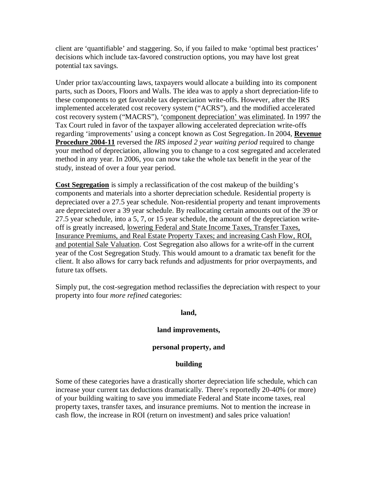client are 'quantifiable' and staggering. So, if you failed to make 'optimal best practices' decisions which include tax-favored construction options, you may have lost great potential tax savings.

Under prior tax/accounting laws, taxpayers would allocate a building into its component parts, such as Doors, Floors and Walls. The idea was to apply a short depreciation-life to these components to get favorable tax depreciation write-offs. However, after the IRS implemented accelerated cost recovery system ("ACRS"), and the modified accelerated cost recovery system ("MACRS"), 'component depreciation' was eliminated. In 1997 the Tax Court ruled in favor of the taxpayer allowing accelerated depreciation write-offs regarding 'improvements' using a concept known as Cost Segregation.<sup>2</sup> In 2004, **Revenue Procedure 2004-11** reversed the *IRS imposed 2 year waiting period* required to change your method of depreciation, allowing you to change to a cost segregated and accelerated method in any year. In 2006, you can now take the whole tax benefit in the year of the study, instead of over a four year period.

**Cost Segregation** is simply a reclassification of the cost makeup of the building's components and materials into a shorter depreciation schedule. Residential property is depreciated over a 27.5 year schedule. Non-residential property and tenant improvements are depreciated over a 39 year schedule. By reallocating certain amounts out of the 39 or 27.5 year schedule, into a 5, 7, or 15 year schedule, the amount of the depreciation writeoff is greatly increased, lowering Federal and State Income Taxes, Transfer Taxes, Insurance Premiums, and Real Estate Property Taxes; and increasing Cash Flow, ROI, and potential Sale Valuation. Cost Segregation also allows for a write-off in the current year of the Cost Segregation Study. This would amount to a dramatic tax benefit for the client. It also allows for carry back refunds and adjustments for prior overpayments, and future tax offsets.

Simply put, the cost-segregation method reclassifies the depreciation with respect to your property into four *more refined* categories:

#### **land,**

#### **land improvements,**

#### **personal property, and**

#### **building**

Some of these categories have a drastically shorter depreciation life schedule, which can increase your current tax deductions dramatically. There's reportedly 20-40% (or more) of your building waiting to save you immediate Federal and State income taxes, real property taxes, transfer taxes, and insurance premiums. Not to mention the increase in cash flow, the increase in ROI (return on investment) and sales price valuation!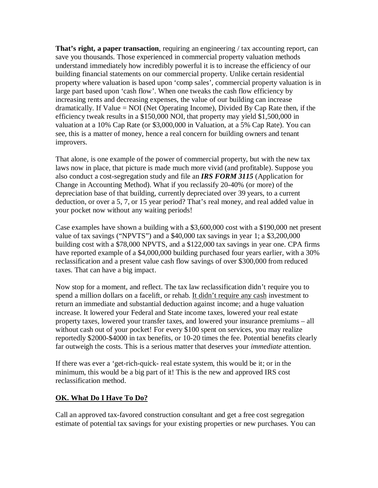**That's right, a paper transaction**, requiring an engineering / tax accounting report, can save you thousands. Those experienced in commercial property valuation methods understand immediately how incredibly powerful it is to increase the efficiency of our building financial statements on our commercial property. Unlike certain residential property where valuation is based upon 'comp sales', commercial property valuation is in large part based upon 'cash flow'. When one tweaks the cash flow efficiency by increasing rents and decreasing expenses, the value of our building can increase dramatically. If Value = NOI (Net Operating Income), Divided By Cap Rate then, if the efficiency tweak results in a \$150,000 NOI, that property may yield \$1,500,000 in valuation at a 10% Cap Rate (or \$3,000,000 in Valuation, at a 5% Cap Rate). You can see, this is a matter of money, hence a real concern for building owners and tenant improvers.

That alone, is one example of the power of commercial property, but with the new tax laws now in place, that picture is made much more vivid (and profitable). Suppose you also conduct a cost-segregation study and file an *IRS FORM 3115* (Application for Change in Accounting Method). What if you reclassify 20-40% (or more) of the depreciation base of that building, currently depreciated over 39 years, to a current deduction, or over a 5, 7, or 15 year period? That's real money, and real added value in your pocket now without any waiting periods!

Case examples have shown a building with a \$3,600,000 cost with a \$190,000 net present value of tax savings ("NPVTS") and a \$40,000 tax savings in year 1; a \$3,200,000 building cost with a \$78,000 NPVTS, and a \$122,000 tax savings in year one. CPA firms have reported example of a \$4,000,000 building purchased four years earlier, with a 30% reclassification and a present value cash flow savings of over \$300,000 from reduced taxes. That can have a big impact.

Now stop for a moment, and reflect. The tax law reclassification didn't require you to spend a million dollars on a facelift, or rehab. It didn't require any cash investment to return an immediate and substantial deduction against income; and a huge valuation increase. It lowered your Federal and State income taxes, lowered your real estate property taxes, lowered your transfer taxes, and lowered your insurance premiums – all without cash out of your pocket! For every \$100 spent on services, you may realize reportedly \$2000-\$4000 in tax benefits, or 10-20 times the fee. Potential benefits clearly far outweigh the costs. This is a serious matter that deserves your *immediate* attention.

If there was ever a 'get-rich-quick- real estate system, this would be it; or in the minimum, this would be a big part of it! This is the new and approved IRS cost reclassification method.

## **OK. What Do I Have To Do?**

Call an approved tax-favored construction consultant and get a free cost segregation estimate of potential tax savings for your existing properties or new purchases. You can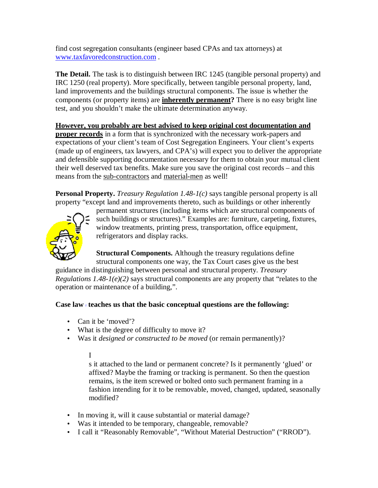find cost segregation consultants (engineer based CPAs and tax attorneys) at [www.taxfavoredconstruction.com](http://www.taxfavoredconstruction.com) .

**The Detail.** The task is to distinguish between IRC 1245 (tangible personal property) and IRC 1250 (real property). More specifically, between tangible personal property, land, land improvements and the buildings structural components. The issue is whether the components (or property items) are **inherently permanent?** There is no easy bright line test, and you shouldn't make the ultimate determination anyway.

**However, you probably are best advised to keep original cost documentation and proper records** in a form that is synchronized with the necessary work-papers and expectations of your client's team of Cost Segregation Engineers. Your client's experts (made up of engineers, tax lawyers, and CPA's) will expect you to deliver the appropriate and defensible supporting documentation necessary for them to obtain your mutual client their well deserved tax benefits. Make sure you save the original cost records – and this means from the sub-contractors and material-men as well!

**Personal Property.** *Treasury Regulation 1.48-1(c)* says tangible personal property is all property "except land and improvements thereto, such as buildings or other inherently



permanent structures (including items which are structural components of such buildings or structures)." Examples are: furniture, carpeting, fixtures, window treatments, printing press, transportation, office equipment, refrigerators and display racks.

**Structural Components.** Although the treasury regulations define structural components one way, the Tax Court cases give us the best

guidance in distinguishing between personal and structural property. *Treasury Regulations 1.48-1(e)(2)* says structural components are any property that "relates to the operation or maintenance of a building,".

## **Case law** <sup>3</sup> **teaches us that the basic conceptual questions are the following:**

- Can it be 'moved'?
- What is the degree of difficulty to move it?
- Was it *designed or constructed to be moved* (or remain permanently)?

I

s it attached to the land or permanent concrete? Is it permanently 'glued' or affixed? Maybe the framing or tracking is permanent. So then the question remains, is the item screwed or bolted onto such permanent framing in a fashion intending for it to be removable, moved, changed, updated, seasonally modified?

- In moving it, will it cause substantial or material damage?
- Was it intended to be temporary, changeable, removable?
- I call it "Reasonably Removable", "Without Material Destruction" ("RROD").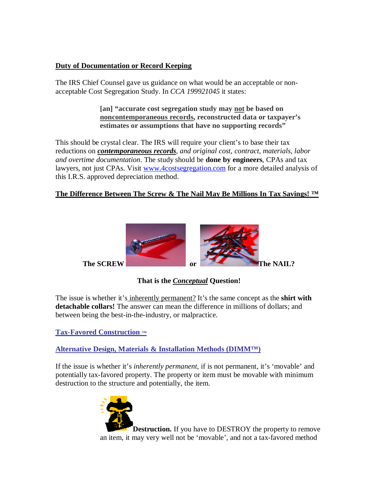### **Duty of Documentation or Record Keeping**

The IRS Chief Counsel gave us guidance on what would be an acceptable or nonacceptable Cost Segregation Study. In *CCA 199921045* it states:

> **[an] "accurate cost segregation study may not be based on noncontemporaneous records, reconstructed data or taxpayer's estimates or assumptions that have no supporting records"**

This should be crystal clear. The IRS will require your client's to base their tax reductions on *contemporaneous records, and original cost, contract, materials, labor and overtime documentation*. The study should be **done by engineers**, CPAs and tax lawyers, not just CPAs. Visit [www.4costsegregation.com](http://www.4costsegregation.com) for a more detailed analysis of this I.R.S. approved depreciation method.

### **The Difference Between The Screw & The Nail May Be Millions In Tax Savings! ™**



**That is the** *Conceptual* **Question!**

The issue is whether it's inherently permanent? It's the same concept as the **shirt with detachable collars!** The answer can mean the difference in millions of dollars; and between being the best-in-the-industry, or malpractice.

**Tax-Favored Construction ™**

**Alternative Design, Materials & Installation Methods (DIMM™)**

If the issue is whether it's *inherently permanent*, if is not permanent, it's 'movable' and potentially tax-favored property. The property or item must be movable with minimum destruction to the structure and potentially, the item.



**Destruction.** If you have to DESTROY the property to remove an item, it may very well not be 'movable', and not a tax-favored method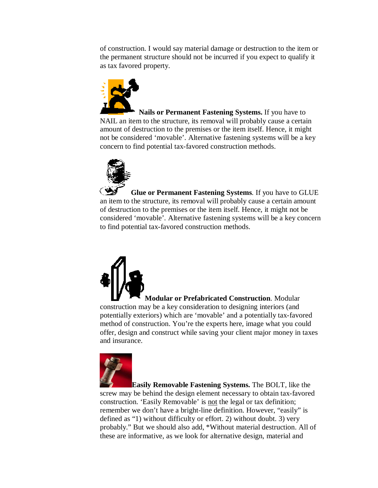of construction. I would say material damage or destruction to the item or the permanent structure should not be incurred if you expect to qualify it as tax favored property.



**Nails or Permanent Fastening Systems.** If you have to NAIL an item to the structure, its removal will probably cause a certain amount of destruction to the premises or the item itself. Hence, it might not be considered 'movable'. Alternative fastening systems will be a key concern to find potential tax-favored construction methods.



**Glue or Permanent Fastening Systems**. If you have to GLUE an item to the structure, its removal will probably cause a certain amount of destruction to the premises or the item itself. Hence, it might not be considered 'movable'. Alternative fastening systems will be a key concern to find potential tax-favored construction methods.



**Modular or Prefabricated Construction**. Modular construction may be a key consideration to designing interiors (and potentially exteriors) which are 'movable' and a potentially tax-favored method of construction. You're the experts here, image what you could offer, design and construct while saving your client major money in taxes and insurance.



**Easily Removable Fastening Systems.** The BOLT, like the screw may be behind the design element necessary to obtain tax-favored construction. 'Easily Removable' is not the legal or tax definition; remember we don't have a bright-line definition. However, "easily" is defined as "1) without difficulty or effort. 2) without doubt. 3) very probably." But we should also add, \*Without material destruction. All of these are informative, as we look for alternative design, material and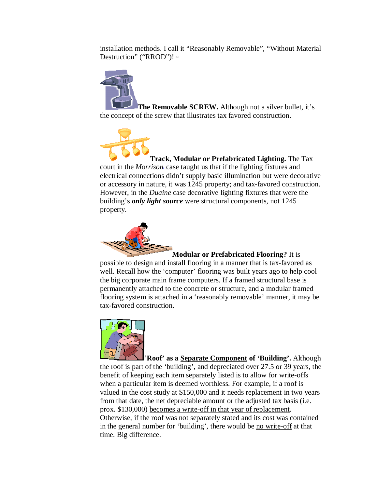installation methods. I call it "Reasonably Removable", "Without Material Destruction" ("RROD")!™



**The Removable SCREW.** Although not a silver bullet, it's the concept of the screw that illustrates tax favored construction.



**Track, Modular or Prefabricated Lighting.** The Tax court in the *Morrison*4 case taught us that if the lighting fixtures and electrical connections didn't supply basic illumination but were decorative or accessory in nature, it was 1245 property; and tax-favored construction. However, in the *Duaine* case decorative lighting fixtures that were the building's *only light source* were structural components, not 1245 property.



**Modular or Prefabricated Flooring?** It is

possible to design and install flooring in a manner that is tax-favored as well. Recall how the 'computer' flooring was built years ago to help cool the big corporate main frame computers. If a framed structural base is permanently attached to the concrete or structure, and a modular framed flooring system is attached in a 'reasonably removable' manner, it may be tax-favored construction.



'**Roof' as a Separate Component of 'Building'.** Although the roof is part of the 'building', and depreciated over 27.5 or 39 years, the benefit of keeping each item separately listed is to allow for write-offs when a particular item is deemed worthless. For example, if a roof is valued in the cost study at \$150,000 and it needs replacement in two years from that date, the net depreciable amount or the adjusted tax basis (i.e. prox. \$130,000) becomes a write-off in that year of replacement. Otherwise, if the roof was not separately stated and its cost was contained in the general number for 'building', there would be no write-off at that time. Big difference.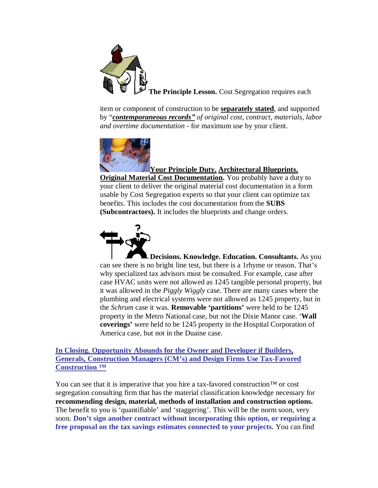

item or component of construction to be **separately stated**, and supported by "*contemporaneous records´ of original cost, contract, materials, labor and overtime documentation* - for maximum use by your client.



# **Your Principle Duty. Architectural Blueprints.**

**Original Material Cost Documentation.** You probably have a duty to your client to deliver the original material cost documentation in a form usable by Cost Segregation experts so that your client can optimize tax benefits. This includes the cost documentation from the **SUBS (Subcontractors).** It includes the blueprints and change orders.



**Decisions. Knowledge. Education. Consultants.** As you can see there is no bright line test, but there is a 1rhyme or reason. That's why specialized tax advisors must be consulted. For example, case after case HVAC units were not allowed as 1245 tangible personal property, but it was allowed in the *Piggly Wiggly* case. There are many cases where the plumbing and electrical systems were not allowed as 1245 property, but in the *Schrum* case it was. **Removable 'partitions'** were held to be 1245 property in the Metro National case, but not the Dixie Manor case. '**Wall coverings'** were held to be 1245 property in the Hospital Corporation of America case, but not in the Duaine case.

**In Closing. Opportunity Abounds for the Owner and Developer if Builders, Generals, Construction Managers (CM's) and Design Firms Use Tax-Favored Construction ™**

You can see that it is imperative that you hire a tax-favored construction<sup>™</sup> or cost segregation consulting firm that has the material classification knowledge necessary for **recommending design, material, methods of installation and construction options.** The benefit to you is 'quantifiable' and 'staggering'. This will be the norm soon, very soon. **Don't sign another contract without incorporating this option, or requiring a free proposal on the tax savings estimates connected to your projects.** You can find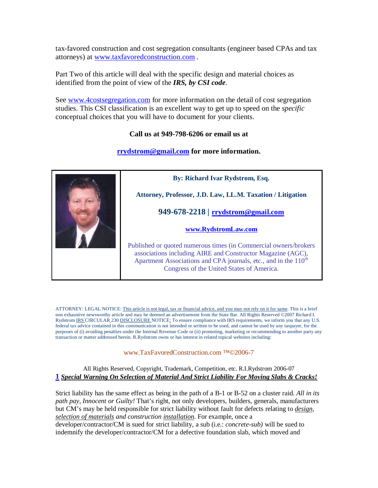tax-favored construction and cost segregation consultants (engineer based CPAs and tax attorneys) at [www.taxfavoredconstruction.com](http://www.taxfavoredconstruction.com) .

Part Two of this article will deal with the specific design and material choices as identified from the point of view of the *IRS, by CSI code*.

See [www.4costsegregation.com](http://www.4costsegregation.com) for more information on the detail of cost segregation studies. This CSI classification is an excellent way to get up to speed on the *specific* conceptual choices that you will have to document for your clients.

#### **Call us at 949-798-6206 or email us at**

#### **[rrydstrom@gmail.com](mailto:rrydstrom@gmail.com) for more information.**



**By: Richard Ivar Rydstrom, Esq.**

**Attorney, Professor, J.D. Law, LL.M. Taxation / Litigation**

**949-678-2218 | [rrydstrom@gmail.com](mailto:rrydstrom@gmail.com)**

#### **[www.RydstromLaw.com](http://www.RydstromLaw.com)**

Published or quoted numerous times (in Commercial owners/brokers associations including AIRE and Constructor Magazine (AGC), Apartment Associations and CPA journals, etc., and in the  $110<sup>th</sup>$ Congress of the United States of America.

ATTORNEY: LEGAL NOTICE: This article is not legal, tax or financial advice, and you may not rely on it for same. This is a brief non exhaustive newsworthy article and may be deemed an advertisement from the State Bar. All Rights Reserved ©2007 Richard I. Rydstrom IRS CIRCULAR 230 DISCLOSURE NOTICE: To ensure compliance with IRS requirements, we inform you that any U.S. federal tax advice contained in this communication is not intended or written to be used, and cannot be used by any taxpayer, for the purposes of (i) avoiding penalties under the Internal Revenue Code or (ii) promoting, marketing or recommending to another party any transaction or matter addressed herein. R.Rydstrom owns or has interest in related topical websites including:

#### [www.TaxFavoredConstruction.com](http://www.TaxFavoredConstruction.com) ™©2006-7

#### All Rights Reserved, Copyright, Trademark, Competition, etc. R.I.Rydstrom 2006-07 **1** *Special Warning On Selection of Material And Strict Liability For Moving Slabs & Cracks!*

Strict liability has the same effect as being in the path of a B-1 or B-52 on a cluster raid. *All in its path pay, Innocent or Guilty!* That's right, not only developers, builders, generals, manufacturers but CM's may be held responsible for strict liability without fault for defects relating to *design, selection of materials and construction installation*. For example, once a

developer/contractor/CM is sued for strict liability, a sub (i.e.: *concrete-sub)* will be sued to indemnify the developer/contractor/CM for a defective foundation slab, which moved and